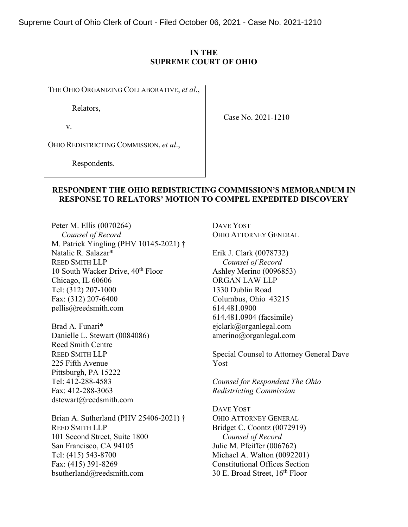Supreme Court of Ohio Clerk of Court - Filed October 06, 2021 - Case No. 2021-1210

### **IN THE SUPREME COURT OF OHIO**

THE OHIO ORGANIZING COLLABORATIVE, *et al*.,

Relators,

v.

Case No. 2021-1210

OHIO REDISTRICTING COMMISSION, *et al*.,

Respondents.

## **RESPONDENT THE OHIO REDISTRICTING COMMISSION'S MEMORANDUM IN RESPONSE TO RELATORS' MOTION TO COMPEL EXPEDITED DISCOVERY**

Peter M. Ellis (0070264)  *Counsel of Record* M. Patrick Yingling (PHV 10145-2021) † Natalie R. Salazar\* REED SMITH LLP 10 South Wacker Drive, 40<sup>th</sup> Floor Chicago, IL 60606 Tel: (312) 207-1000 Fax: (312) 207-6400 pellis@reedsmith.com

Brad A. Funari\* Danielle L. Stewart (0084086) Reed Smith Centre REED SMITH LLP 225 Fifth Avenue Pittsburgh, PA 15222 Tel: 412-288-4583 Fax: 412-288-3063 dstewart@reedsmith.com

Brian A. Sutherland (PHV 25406-2021) † REED SMITH LLP 101 Second Street, Suite 1800 San Francisco, CA 94105 Tel: (415) 543-8700 Fax: (415) 391-8269 bsutherland@reedsmith.com

DAVE YOST OHIO ATTORNEY GENERAL

Erik J. Clark (0078732)  *Counsel of Record* Ashley Merino (0096853) ORGAN LAW LLP 1330 Dublin Road Columbus, Ohio 43215 614.481.0900 614.481.0904 (facsimile) ejclark@organlegal.com amerino@organlegal.com

Special Counsel to Attorney General Dave Yost

*Counsel for Respondent The Ohio Redistricting Commission*

DAVE YOST OHIO ATTORNEY GENERAL Bridget C. Coontz (0072919)  *Counsel of Record* Julie M. Pfeiffer (006762) Michael A. Walton (0092201) Constitutional Offices Section 30 E. Broad Street,  $16<sup>th</sup>$  Floor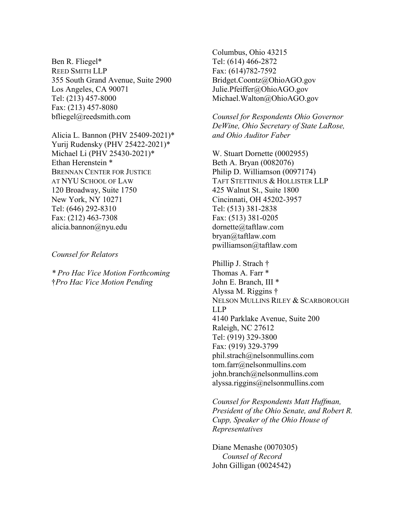Ben R. Fliegel\* REED SMITH LLP 355 South Grand Avenue, Suite 2900 Los Angeles, CA 90071 Tel: (213) 457-8000 Fax: (213) 457-8080 bfliegel@reedsmith.com

Alicia L. Bannon (PHV 25409-2021)\* Yurij Rudensky (PHV 25422-2021)\* Michael Li (PHV 25430-2021)\* Ethan Herenstein \* BRENNAN CENTER FOR JUSTICE AT NYU SCHOOL OF LAW 120 Broadway, Suite 1750 New York, NY 10271 Tel: (646) 292-8310 Fax: (212) 463-7308 alicia.bannon@nyu.edu

*Counsel for Relators*

*\* Pro Hac Vice Motion Forthcoming* †*Pro Hac Vice Motion Pending*

Columbus, Ohio 43215 Tel: (614) 466-2872 Fax: (614)782-7592 Bridget.Coontz@OhioAGO.gov Julie.Pfeiffer@OhioAGO.gov Michael.Walton@OhioAGO.gov

*Counsel for Respondents Ohio Governor DeWine, Ohio Secretary of State LaRose, and Ohio Auditor Faber*

W. Stuart Dornette (0002955) Beth A. Bryan (0082076) Philip D. Williamson (0097174) TAFT STETTINIUS & HOLLISTER LLP 425 Walnut St., Suite 1800 Cincinnati, OH 45202-3957 Tel: (513) 381-2838 Fax: (513) 381-0205 dornette@taftlaw.com bryan@taftlaw.com pwilliamson@taftlaw.com

Phillip J. Strach † Thomas A. Farr \* John E. Branch, III \* Alyssa M. Riggins † NELSON MULLINS RILEY & SCARBOROUGH LLP 4140 Parklake Avenue, Suite 200 Raleigh, NC 27612 Tel: (919) 329-3800 Fax: (919) 329-3799 phil.strach@nelsonmullins.com tom.farr@nelsonmullins.com john.branch@nelsonmullins.com alyssa.riggins@nelsonmullins.com

*Counsel for Respondents Matt Huffman, President of the Ohio Senate, and Robert R. Cupp, Speaker of the Ohio House of Representatives* 

Diane Menashe (0070305)  *Counsel of Record* John Gilligan (0024542)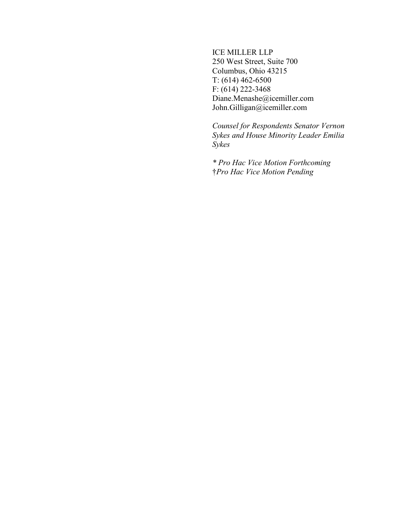## ICE MILLER LLP

250 West Street, Suite 700 Columbus, Ohio 43215 T: (614) 462-6500 F: (614) 222-3468 Diane.Menashe@icemiller.com John.Gilligan@icemiller.com

*Counsel for Respondents Senator Vernon Sykes and House Minority Leader Emilia Sykes*

*\* Pro Hac Vice Motion Forthcoming* †*Pro Hac Vice Motion Pending*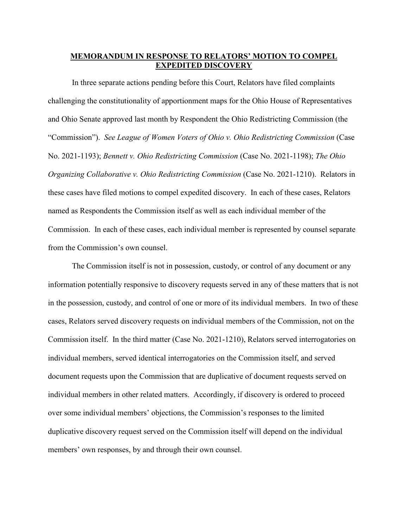# **MEMORANDUM IN RESPONSE TO RELATORS' MOTION TO COMPEL EXPEDITED DISCOVERY**

In three separate actions pending before this Court, Relators have filed complaints challenging the constitutionality of apportionment maps for the Ohio House of Representatives and Ohio Senate approved last month by Respondent the Ohio Redistricting Commission (the "Commission"). *See League of Women Voters of Ohio v. Ohio Redistricting Commission* (Case No. 2021-1193); *Bennett v. Ohio Redistricting Commission* (Case No. 2021-1198); *The Ohio Organizing Collaborative v. Ohio Redistricting Commission (Case No. 2021-1210). Relators in* these cases have filed motions to compel expedited discovery. In each of these cases, Relators named as Respondents the Commission itself as well as each individual member of the Commission. In each of these cases, each individual member is represented by counsel separate from the Commission's own counsel.

The Commission itself is not in possession, custody, or control of any document or any information potentially responsive to discovery requests served in any of these matters that is not in the possession, custody, and control of one or more of its individual members. In two of these cases, Relators served discovery requests on individual members of the Commission, not on the Commission itself. In the third matter (Case No. 2021-1210), Relators served interrogatories on individual members, served identical interrogatories on the Commission itself, and served document requests upon the Commission that are duplicative of document requests served on individual members in other related matters. Accordingly, if discovery is ordered to proceed over some individual members' objections, the Commission's responses to the limited duplicative discovery request served on the Commission itself will depend on the individual members' own responses, by and through their own counsel.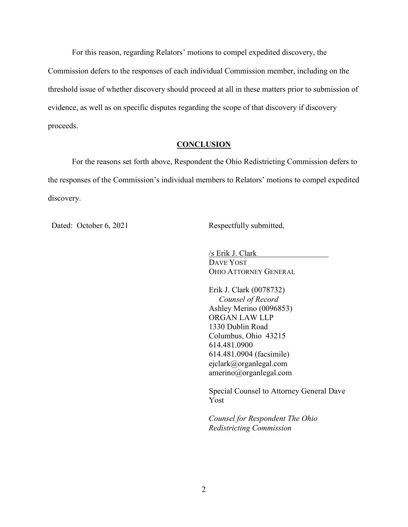For this reason, regarding Relators' motions to compel expedited discovery, the Commission defers to the responses of each individual Commission member, including on the threshold issue of whether discovery should proceed at all in these matters prior to submission of evidence, as well as on specific disputes regarding the scope of that discovery if discovery proceeds.

### **CONCLUSION**

For the reasons set forth above, Respondent the Ohio Redistricting Commission defers to the responses of the Commission's individual members to Relators' motions to compel expedited discovery.

Dated: October 6, 2021 Respectfully submitted,

/s Erik J. Clark DAVE YOST OHIO ATTORNEY GENERAL

Erik J. Clark (0078732) *Counsel of Record* Ashley Merino (0096853) ORGAN LAW LLP 1330 Dublin Road Columbus, Ohio 43215 614.481.0900 614.481.0904 (facsimile) ejclark@organlegal.com amerino@organlegal.com

Special Counsel to Attorney General Dave Yost

*Counsel for Respondent The Ohio Redistricting Commission*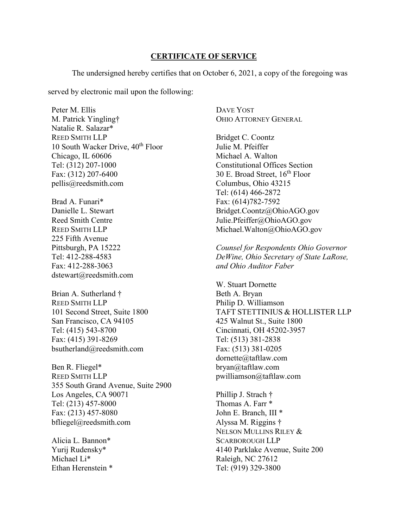### **CERTIFICATE OF SERVICE**

The undersigned hereby certifies that on October 6, 2021, a copy of the foregoing was

served by electronic mail upon the following:

Peter M. Ellis M. Patrick Yingling† Natalie R. Salazar\* REED SMITH LLP 10 South Wacker Drive, 40<sup>th</sup> Floor Chicago, IL 60606 Tel: (312) 207-1000 Fax: (312) 207-6400 pellis@reedsmith.com

Brad A. Funari\* Danielle L. Stewart Reed Smith Centre REED SMITH LLP 225 Fifth Avenue Pittsburgh, PA 15222 Tel: 412-288-4583 Fax: 412-288-3063 dstewart@reedsmith.com

Brian A. Sutherland † REED SMITH LLP 101 Second Street, Suite 1800 San Francisco, CA 94105 Tel: (415) 543-8700 Fax: (415) 391-8269 bsutherland@reedsmith.com

Ben R. Fliegel\* REED SMITH LLP 355 South Grand Avenue, Suite 2900 Los Angeles, CA 90071 Tel: (213) 457-8000 Fax: (213) 457-8080 bfliegel@reedsmith.com

Alicia L. Bannon\* Yurij Rudensky\* Michael Li\* Ethan Herenstein \* DAVE YOST OHIO ATTORNEY GENERAL

Bridget C. Coontz Julie M. Pfeiffer Michael A. Walton Constitutional Offices Section 30 E. Broad Street,  $16^{th}$  Floor Columbus, Ohio 43215 Tel: (614) 466-2872 Fax: (614)782-7592 Bridget.Coontz@OhioAGO.gov Julie.Pfeiffer@OhioAGO.gov Michael.Walton@OhioAGO.gov

*Counsel for Respondents Ohio Governor DeWine, Ohio Secretary of State LaRose, and Ohio Auditor Faber*

W. Stuart Dornette Beth A. Bryan Philip D. Williamson TAFT STETTINIUS & HOLLISTER LLP 425 Walnut St., Suite 1800 Cincinnati, OH 45202-3957 Tel: (513) 381-2838 Fax: (513) 381-0205 dornette@taftlaw.com bryan@taftlaw.com pwilliamson@taftlaw.com

Phillip J. Strach † Thomas A. Farr \* John E. Branch, III \* Alyssa M. Riggins † NELSON MULLINS RILEY & SCARBOROUGH LLP 4140 Parklake Avenue, Suite 200 Raleigh, NC 27612 Tel: (919) 329-3800